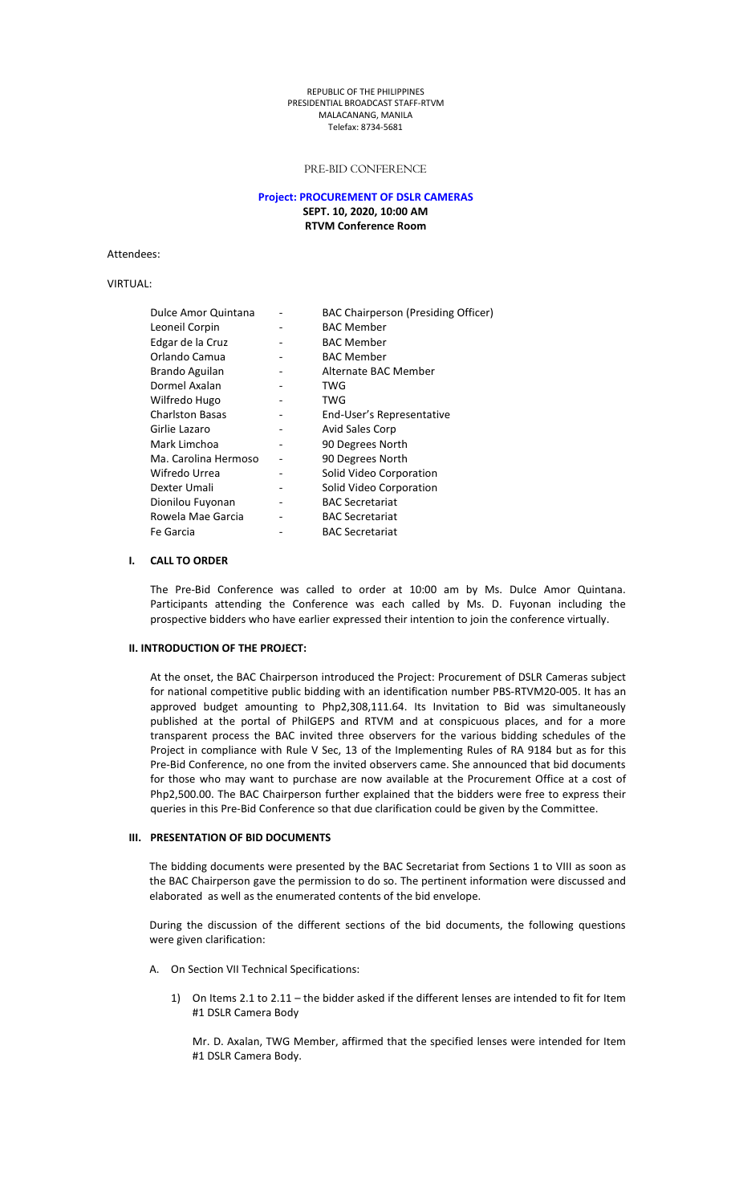#### REPUBLIC OFTHE PHILIPPINES PRESIDENTIAL BROADCAST STAFF-RTVM MALACANANG, MANILA Telefax: 8734-5681

## PRE-BID CONFERENCE

## **Project: PROCUREMENT OF DSLR CAMERAS SEPT. 10, 2020, 10:00 AM RTVM Conference Room**

Attendees:

VIRTUAL:

| Dulce Amor Quintana    | <b>BAC Chairperson (Presiding Officer)</b> |
|------------------------|--------------------------------------------|
| Leoneil Corpin         | <b>BAC Member</b>                          |
| Edgar de la Cruz       | <b>BAC Member</b>                          |
| Orlando Camua          | <b>BAC Member</b>                          |
| Brando Aguilan         | Alternate BAC Member                       |
| Dormel Axalan          | TWG                                        |
| Wilfredo Hugo          | TWG                                        |
| <b>Charlston Basas</b> | End-User's Representative                  |
| Girlie Lazaro          | Avid Sales Corp                            |
| Mark Limchoa           | 90 Degrees North                           |
| Ma. Carolina Hermoso   | 90 Degrees North                           |
| Wifredo Urrea          | Solid Video Corporation                    |
| Dexter Umali           | Solid Video Corporation                    |
| Dionilou Fuyonan       | <b>BAC Secretariat</b>                     |
| Rowela Mae Garcia      | <b>BAC Secretariat</b>                     |
| Fe Garcia              | <b>BAC Secretariat</b>                     |

# **I. CALL TO ORDER**

The Pre-Bid Conference was called to order at 10:00 am by Ms. Dulce Amor Quintana. Participants attending the Conference was each called by Ms. D. Fuyonan including the prospective bidders who have earlier expressed their intention to join the conference virtually.

## **II. INTRODUCTION OF THEPROJECT:**

At the onset, the BAC Chairperson introduced the Project: Procurement of DSLR Cameras subject for national competitive public bidding with an identification number PBS-RTVM20-005. It has an approved budget amounting to Php2,308,111.64. Its Invitation to Bid was simultaneously published at the portal of PhilGEPS and RTVM and at conspicuous places, and for a more transparent process the BAC invited three observers for the various bidding schedules of the Project in compliance with Rule V Sec, 13 of the Implementing Rules of RA 9184 but as for this Pre-Bid Conference, no one from the invited observers came. She announced that bid documents for those who may want to purchase are now available at the Procurement Office at a cost of Php2,500.00. The BAC Chairperson further explained that the bidders were free to express their queries in this Pre-Bid Conference so that due clarification could be given by the Committee.

#### **III. PRESENTATION OF BID DOCUMENTS**

The bidding documents were presented by the BAC Secretariat from Sections 1 to VIII as soon as the BAC Chairperson gave the permission to do so. The pertinent information were discussed and elaborated as well as the enumerated contents of the bid envelope.

During the discussion of the different sections of the bid documents, the following questions were given clarification:

- A. On Section VII Technical Specifications:
	- 1) On Items2.1 to 2.11 the bidder asked if the different lenses are intended to fit for Item #1 DSLR Camera Body

Mr. D. Axalan, TWG Member, affirmed that the specified lenses were intended for Item #1 DSLR Camera Body.